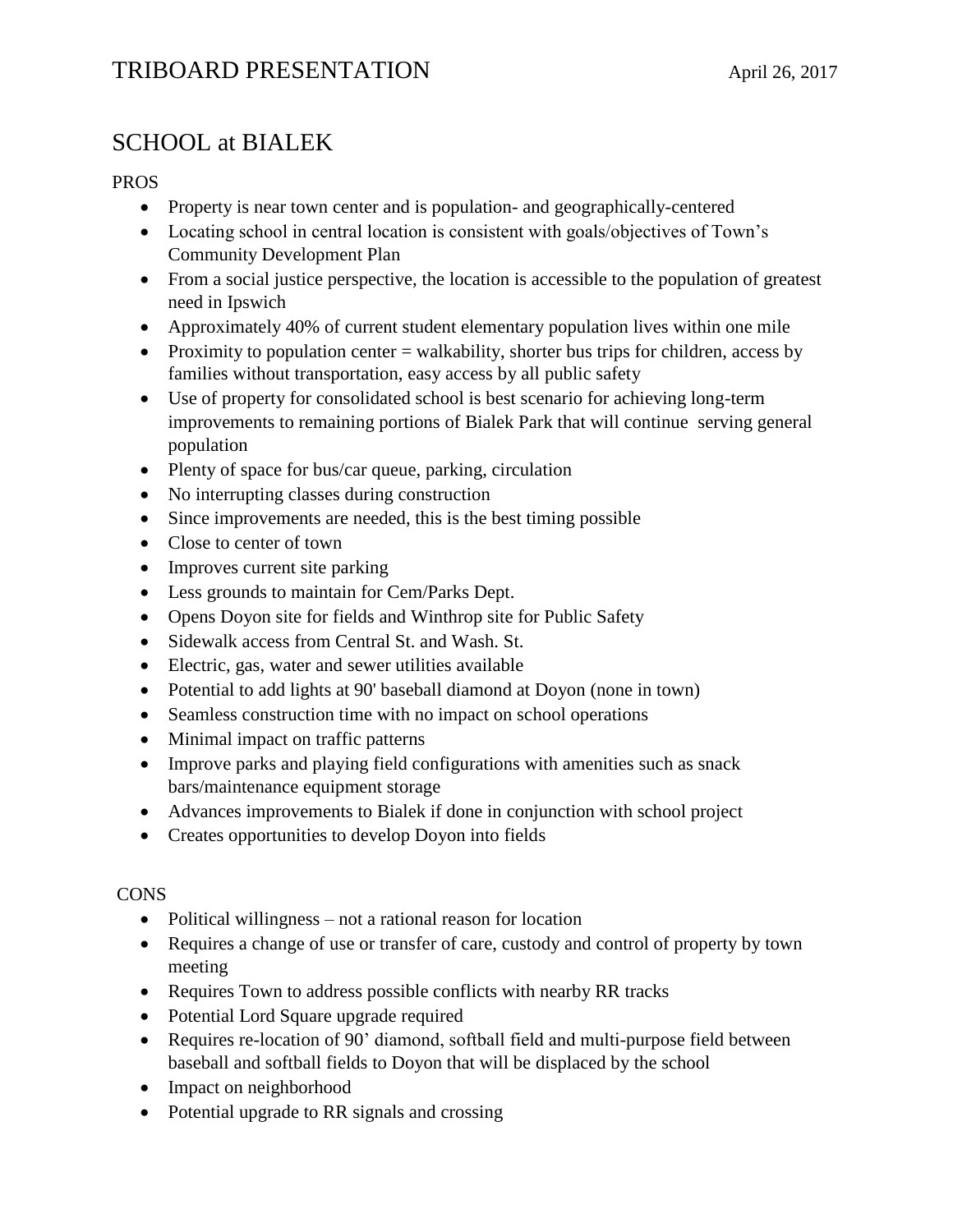## SCHOOL at BIALEK

## PROS

- Property is near town center and is population- and geographically-centered
- Locating school in central location is consistent with goals/objectives of Town's Community Development Plan
- From a social justice perspective, the location is accessible to the population of greatest need in Ipswich
- Approximately 40% of current student elementary population lives within one mile
- Proximity to population center  $=$  walkability, shorter bus trips for children, access by families without transportation, easy access by all public safety
- Use of property for consolidated school is best scenario for achieving long-term improvements to remaining portions of Bialek Park that will continue serving general population
- Plenty of space for bus/car queue, parking, circulation
- No interrupting classes during construction
- Since improvements are needed, this is the best timing possible
- Close to center of town
- Improves current site parking
- Less grounds to maintain for Cem/Parks Dept.
- Opens Doyon site for fields and Winthrop site for Public Safety
- Sidewalk access from Central St. and Wash. St.
- Electric, gas, water and sewer utilities available
- Potential to add lights at 90' baseball diamond at Doyon (none in town)
- Seamless construction time with no impact on school operations
- Minimal impact on traffic patterns
- Improve parks and playing field configurations with amenities such as snack bars/maintenance equipment storage
- Advances improvements to Bialek if done in conjunction with school project
- Creates opportunities to develop Doyon into fields

### **CONS**

- Political willingness not a rational reason for location
- Requires a change of use or transfer of care, custody and control of property by town meeting
- Requires Town to address possible conflicts with nearby RR tracks
- Potential Lord Square upgrade required
- Requires re-location of 90' diamond, softball field and multi-purpose field between baseball and softball fields to Doyon that will be displaced by the school
- Impact on neighborhood
- Potential upgrade to RR signals and crossing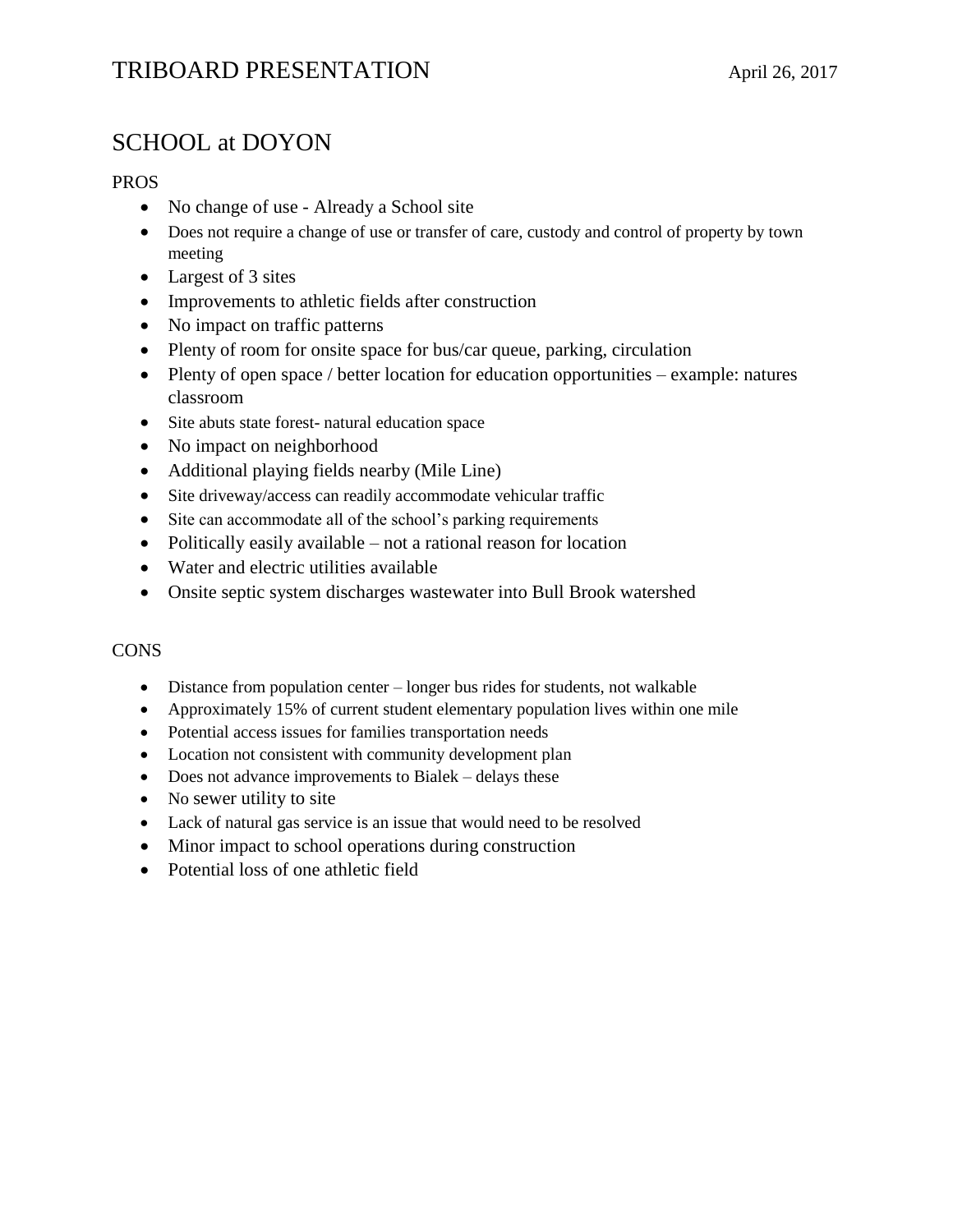## TRIBOARD PRESENTATION April 26, 2017

## SCHOOL at DOYON

### PROS

- No change of use Already a School site
- Does not require a change of use or transfer of care, custody and control of property by town meeting
- Largest of 3 sites
- Improvements to athletic fields after construction
- No impact on traffic patterns
- Plenty of room for onsite space for bus/car queue, parking, circulation
- Plenty of open space / better location for education opportunities example: natures classroom
- Site abuts state forest- natural education space
- No impact on neighborhood
- Additional playing fields nearby (Mile Line)
- Site driveway/access can readily accommodate vehicular traffic
- Site can accommodate all of the school's parking requirements
- Politically easily available not a rational reason for location
- Water and electric utilities available
- Onsite septic system discharges wastewater into Bull Brook watershed

### **CONS**

- Distance from population center longer bus rides for students, not walkable
- Approximately 15% of current student elementary population lives within one mile
- Potential access issues for families transportation needs
- Location not consistent with community development plan
- Does not advance improvements to Bialek delays these
- No sewer utility to site
- Lack of natural gas service is an issue that would need to be resolved
- Minor impact to school operations during construction
- Potential loss of one athletic field